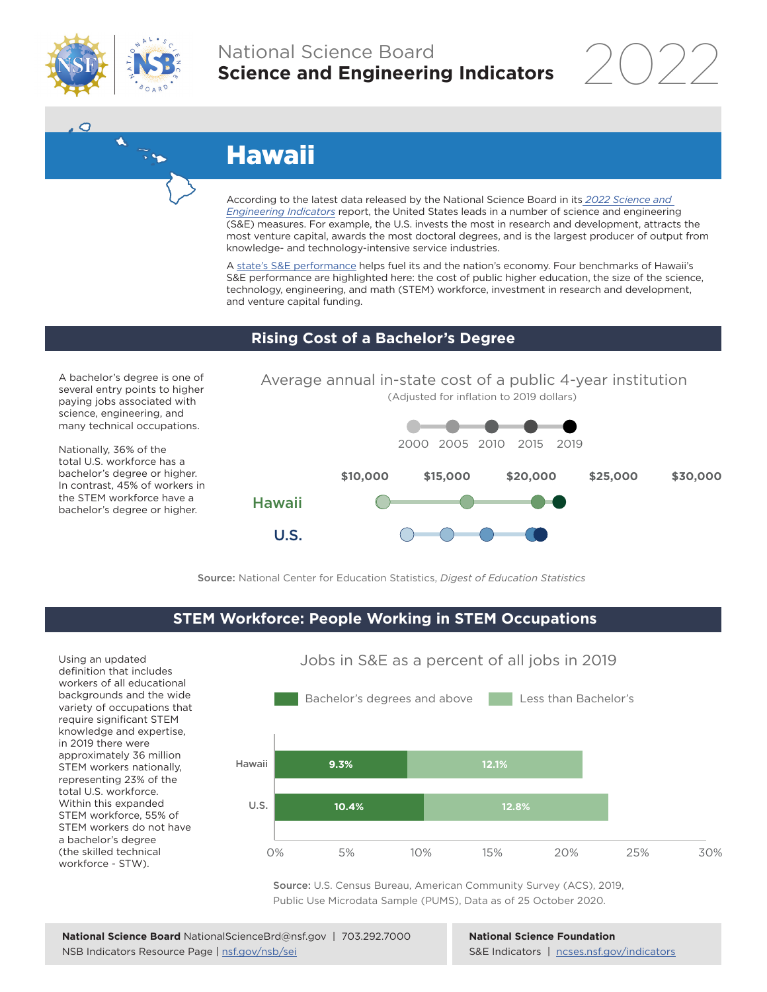

A

 $\tilde{\cdot}$ 

 $\circ$ 

# National Science Board **Science and Engineering Indicators**

2022

# Hawaii

According to the latest data released by the National Science Board in its *[2022 Science and](https://www.ncses.nsf.gov/indicators)  [Engineering Indicators](https://www.ncses.nsf.gov/indicators)* report, the United States leads in a number of science and engineering (S&E) measures. For example, the U.S. invests the most in research and development, attracts the most venture capital, awards the most doctoral degrees, and is the largest producer of output from knowledge- and technology-intensive service industries.

A state's S&E performance helps fuel its and the nation's economy. Four benchmarks of Hawaii's S&E performance are highlighted here: the cost of public higher education, the size of the science, technology, engineering, and math (STEM) workforce, investment in research and development, and venture capital funding.

## **Rising Cost of a Bachelor's Degree**

A bachelor's degree is one of several entry points to higher paying jobs associated with science, engineering, and many technical occupations.

Nationally, 36% of the total U.S. workforce has a bachelor's degree or higher. In contrast, 45% of workers in the STEM workforce have a bachelor's degree or higher.



Source: National Center for Education Statistics, *Digest of Education Statistics*

## **STEM Workforce: People Working in STEM Occupations**

Using an updated definition that includes workers of all educational backgrounds and the wide variety of occupations that require significant STEM knowledge and expertise, in 2019 there were approximately 36 million STEM workers nationally, representing 23% of the total U.S. workforce. Within this expanded STEM workforce, 55% of STEM workers do not have a bachelor's degree (the skilled technical workforce - STW).



Jobs in S&E as a percent of all jobs in 2019

Source: U.S. Census Bureau, American Community Survey (ACS), 2019, Public Use Microdata Sample (PUMS), Data as of 25 October 2020.

#### **National Science Foundation** S&E Indicators | [ncses.nsf.gov/indicators](https://www.ncses.nsf.gov/indicators)